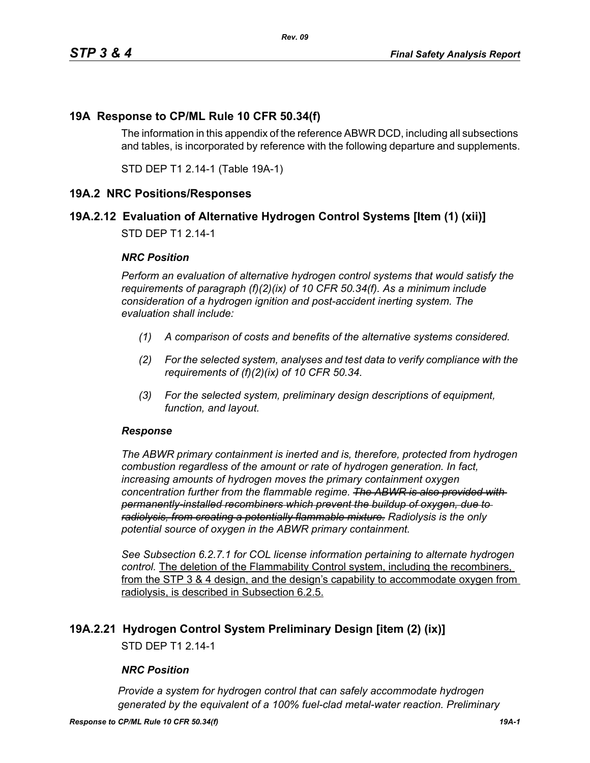## **19A Response to CP/ML Rule 10 CFR 50.34(f)**

The information in this appendix of the reference ABWR DCD, including all subsections and tables, is incorporated by reference with the following departure and supplements.

STD DEP T1 2.14-1 (Table 19A-1)

#### **19A.2 NRC Positions/Responses**

## **19A.2.12 Evaluation of Alternative Hydrogen Control Systems [Item (1) (xii)]**

STD DEP T1 2.14-1

#### *NRC Position*

*Perform an evaluation of alternative hydrogen control systems that would satisfy the requirements of paragraph (f)(2)(ix) of 10 CFR 50.34(f). As a minimum include consideration of a hydrogen ignition and post-accident inerting system. The evaluation shall include:*

- *(1) A comparison of costs and benefits of the alternative systems considered.*
- *(2) For the selected system, analyses and test data to verify compliance with the requirements of (f)(2)(ix) of 10 CFR 50.34.*
- *(3) For the selected system, preliminary design descriptions of equipment, function, and layout.*

#### *Response*

*The ABWR primary containment is inerted and is, therefore, protected from hydrogen combustion regardless of the amount or rate of hydrogen generation. In fact, increasing amounts of hydrogen moves the primary containment oxygen concentration further from the flammable regime. The ABWR is also provided with permanently-installed recombiners which prevent the buildup of oxygen, due to radiolysis, from creating a potentially flammable mixture. Radiolysis is the only potential source of oxygen in the ABWR primary containment.*

*See Subsection 6.2.7.1 for COL license information pertaining to alternate hydrogen control.* The deletion of the Flammability Control system, including the recombiners, from the STP 3 & 4 design, and the design's capability to accommodate oxygen from radiolysis, is described in Subsection 6.2.5.

#### **19A.2.21 Hydrogen Control System Preliminary Design [item (2) (ix)]**

STD DEP T1 2.14-1

#### *NRC Position*

*Provide a system for hydrogen control that can safely accommodate hydrogen generated by the equivalent of a 100% fuel-clad metal-water reaction. Preliminary*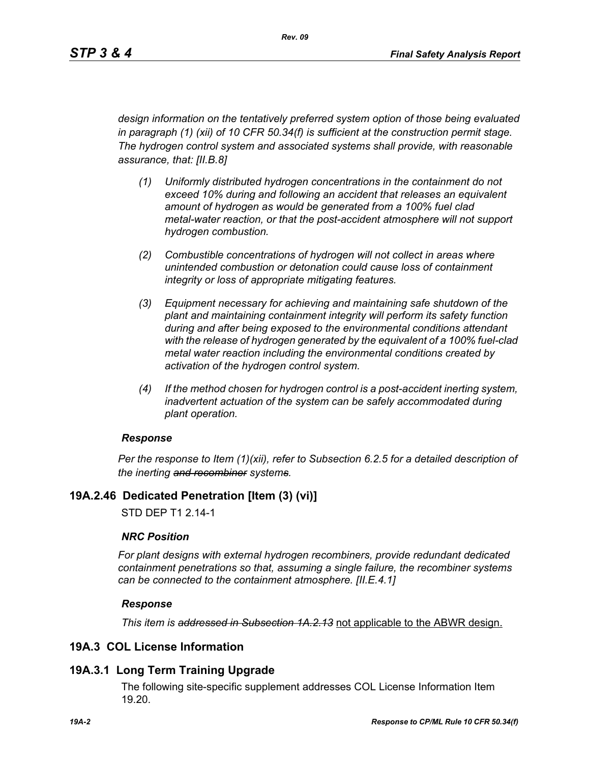*design information on the tentatively preferred system option of those being evaluated in paragraph (1) (xii) of 10 CFR 50.34(f) is sufficient at the construction permit stage. The hydrogen control system and associated systems shall provide, with reasonable assurance, that: [II.B.8]*

- *(1) Uniformly distributed hydrogen concentrations in the containment do not exceed 10% during and following an accident that releases an equivalent amount of hydrogen as would be generated from a 100% fuel clad metal-water reaction, or that the post-accident atmosphere will not support hydrogen combustion.*
- *(2) Combustible concentrations of hydrogen will not collect in areas where unintended combustion or detonation could cause loss of containment integrity or loss of appropriate mitigating features.*
- *(3) Equipment necessary for achieving and maintaining safe shutdown of the plant and maintaining containment integrity will perform its safety function during and after being exposed to the environmental conditions attendant with the release of hydrogen generated by the equivalent of a 100% fuel-clad metal water reaction including the environmental conditions created by activation of the hydrogen control system.*
- *(4) If the method chosen for hydrogen control is a post-accident inerting system, inadvertent actuation of the system can be safely accommodated during plant operation.*

#### *Response*

*Per the response to Item (1)(xii), refer to Subsection 6.2.5 for a detailed description of the inerting and recombiner systems.*

## **19A.2.46 Dedicated Penetration [Item (3) (vi)]**

STD DEP T1 2.14-1

#### *NRC Position*

*For plant designs with external hydrogen recombiners, provide redundant dedicated containment penetrations so that, assuming a single failure, the recombiner systems can be connected to the containment atmosphere. [II.E.4.1]*

#### *Response*

*This item is addressed in Subsection 1A.2.13* not applicable to the ABWR design.

## **19A.3 COL License Information**

## **19A.3.1 Long Term Training Upgrade**

The following site-specific supplement addresses COL License Information Item 19.20.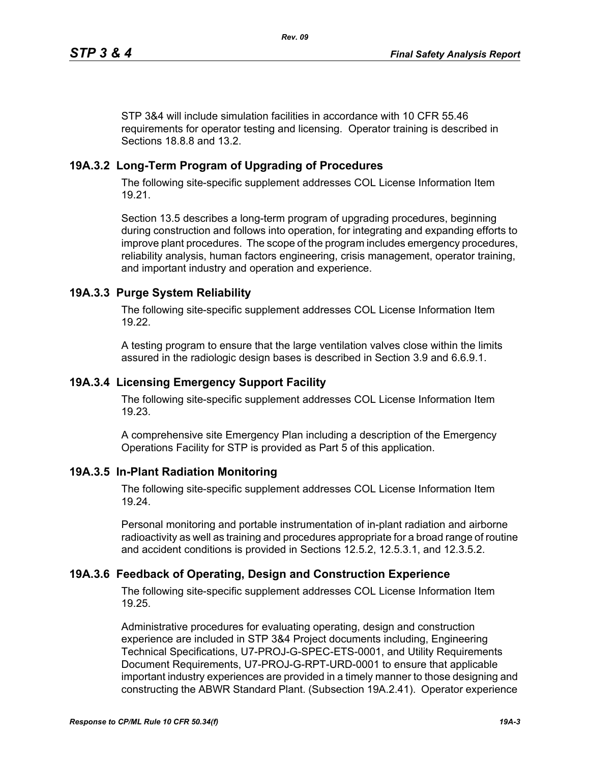STP 3&4 will include simulation facilities in accordance with 10 CFR 55.46 requirements for operator testing and licensing. Operator training is described in Sections 18.8.8 and 13.2.

# **19A.3.2 Long-Term Program of Upgrading of Procedures**

The following site-specific supplement addresses COL License Information Item 19.21.

Section 13.5 describes a long-term program of upgrading procedures, beginning during construction and follows into operation, for integrating and expanding efforts to improve plant procedures. The scope of the program includes emergency procedures, reliability analysis, human factors engineering, crisis management, operator training, and important industry and operation and experience.

## **19A.3.3 Purge System Reliability**

The following site-specific supplement addresses COL License Information Item 19.22.

A testing program to ensure that the large ventilation valves close within the limits assured in the radiologic design bases is described in Section 3.9 and 6.6.9.1.

## **19A.3.4 Licensing Emergency Support Facility**

The following site-specific supplement addresses COL License Information Item 19.23.

A comprehensive site Emergency Plan including a description of the Emergency Operations Facility for STP is provided as Part 5 of this application.

## **19A.3.5 In-Plant Radiation Monitoring**

The following site-specific supplement addresses COL License Information Item 19.24.

Personal monitoring and portable instrumentation of in-plant radiation and airborne radioactivity as well as training and procedures appropriate for a broad range of routine and accident conditions is provided in Sections 12.5.2, 12.5.3.1, and 12.3.5.2.

## **19A.3.6 Feedback of Operating, Design and Construction Experience**

The following site-specific supplement addresses COL License Information Item 19.25.

Administrative procedures for evaluating operating, design and construction experience are included in STP 3&4 Project documents including, Engineering Technical Specifications, U7-PROJ-G-SPEC-ETS-0001, and Utility Requirements Document Requirements, U7-PROJ-G-RPT-URD-0001 to ensure that applicable important industry experiences are provided in a timely manner to those designing and constructing the ABWR Standard Plant. (Subsection 19A.2.41). Operator experience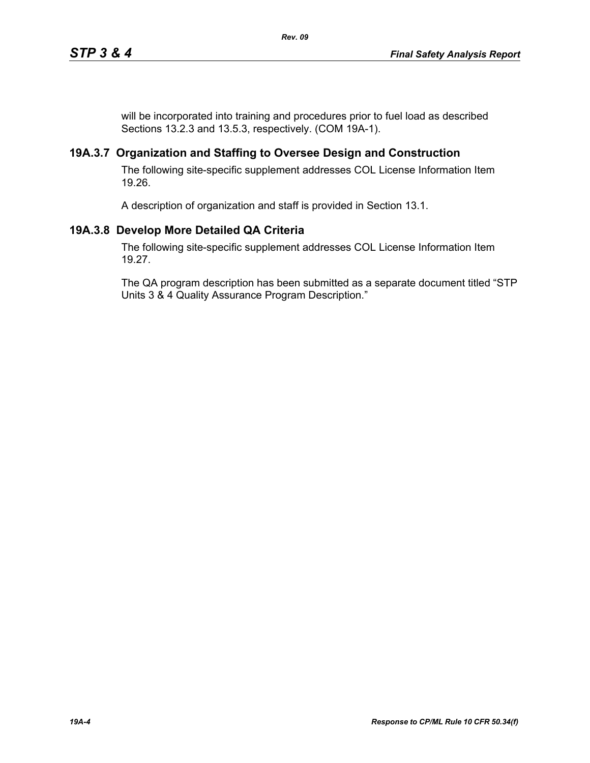will be incorporated into training and procedures prior to fuel load as described Sections 13.2.3 and 13.5.3, respectively. (COM 19A-1).

## **19A.3.7 Organization and Staffing to Oversee Design and Construction**

The following site-specific supplement addresses COL License Information Item 19.26.

A description of organization and staff is provided in Section 13.1.

# **19A.3.8 Develop More Detailed QA Criteria**

The following site-specific supplement addresses COL License Information Item 19.27.

The QA program description has been submitted as a separate document titled "STP Units 3 & 4 Quality Assurance Program Description."